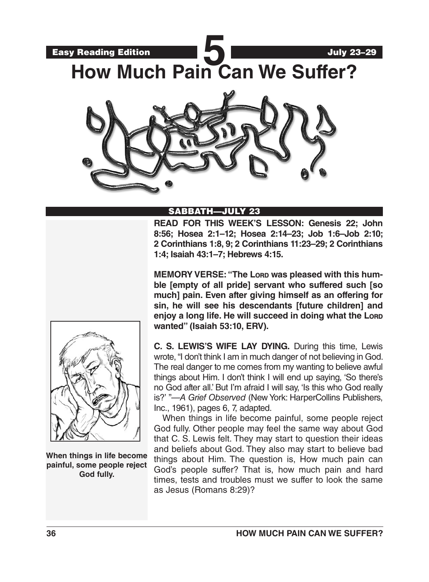



# SABBATH—JULY 23

**READ FOR THIS WEEK'S LESSON: Genesis 22; John 8:56; Hosea 2:1–12; Hosea 2:14–23; Job 1:6–Job 2:10; 2 Corinthians 1:8, 9; 2 Corinthians 11:23–29; 2 Corinthians 1:4; Isaiah 43:1–7; Hebrews 4:15.** 

**MEMORY VERSE: "The Lord was pleased with this humble [empty of all pride] servant who suffered such [so much] pain. Even after giving himself as an offering for sin, he will see his descendants [future children] and enjoy a long life. He will succeed in doing what the Lord wanted" (Isaiah 53:10, ERV).**



When things in life become painful, some people reject God fully. Other people may feel the same way about God that C. S. Lewis felt. They may start to question their ideas and beliefs about God. They also may start to believe bad things about Him. The question is, How much pain can God's people suffer? That is, how much pain and hard times, tests and troubles must we suffer to look the same as Jesus (Romans 8:29)?



**When things in life become painful, some people reject God fully.**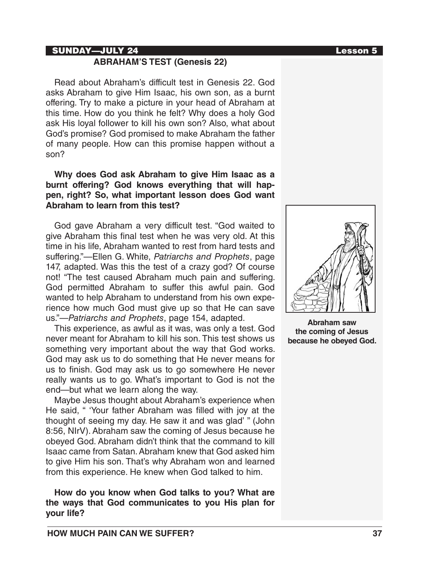#### SUNDAY—JULY 24 Lesson 5

# **ABRAHAM'S TEST (Genesis 22)**

Read about Abraham's difficult test in Genesis 22. God asks Abraham to give Him Isaac, his own son, as a burnt offering. Try to make a picture in your head of Abraham at this time. How do you think he felt? Why does a holy God ask His loyal follower to kill his own son? Also, what about God's promise? God promised to make Abraham the father of many people. How can this promise happen without a son?

## **Why does God ask Abraham to give Him Isaac as a burnt offering? God knows everything that will happen, right? So, what important lesson does God want Abraham to learn from this test?**

God gave Abraham a very difficult test. "God waited to give Abraham this final test when he was very old. At this time in his life, Abraham wanted to rest from hard tests and suffering."—Ellen G. White, *Patriarchs and Prophets*, page 147, adapted. Was this the test of a crazy god? Of course not! "The test caused Abraham much pain and suffering. God permitted Abraham to suffer this awful pain. God wanted to help Abraham to understand from his own experience how much God must give up so that He can save us."—*Patriarchs and Prophets*, page 154, adapted.

This experience, as awful as it was, was only a test. God never meant for Abraham to kill his son. This test shows us something very important about the way that God works. God may ask us to do something that He never means for us to finish. God may ask us to go somewhere He never really wants us to go. What's important to God is not the end—but what we learn along the way.

Maybe Jesus thought about Abraham's experience when He said, " 'Your father Abraham was filled with joy at the thought of seeing my day. He saw it and was glad' " (John 8:56, NIrV). Abraham saw the coming of Jesus because he obeyed God. Abraham didn't think that the command to kill Isaac came from Satan. Abraham knew that God asked him to give Him his son. That's why Abraham won and learned from this experience. He knew when God talked to him.

**How do you know when God talks to you? What are the ways that God communicates to you His plan for your life?**



**Abraham saw the coming of Jesus because he obeyed God.**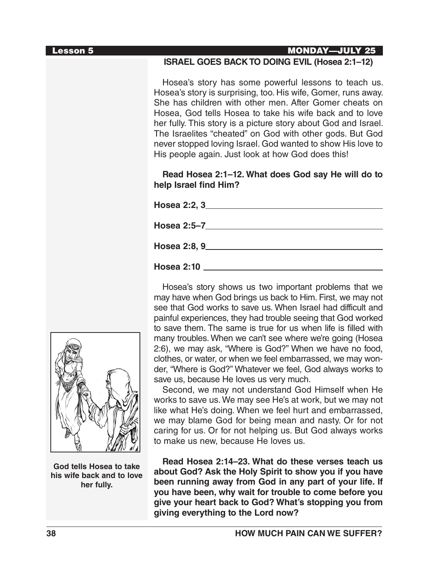| <b>Lesson 5</b> | <b>MONDAY-JULY 25</b>                                                                                                                                                                                                                                                                                                                                                                                                                                                                         |
|-----------------|-----------------------------------------------------------------------------------------------------------------------------------------------------------------------------------------------------------------------------------------------------------------------------------------------------------------------------------------------------------------------------------------------------------------------------------------------------------------------------------------------|
|                 | ISRAEL GOES BACK TO DOING EVIL (Hosea 2:1-12)                                                                                                                                                                                                                                                                                                                                                                                                                                                 |
|                 | Hosea's story has some powerful lessons to teach us.<br>Hosea's story is surprising, too. His wife, Gomer, runs away.<br>She has children with other men. After Gomer cheats on<br>Hosea, God tells Hosea to take his wife back and to love<br>her fully. This story is a picture story about God and Israel.<br>The Israelites "cheated" on God with other gods. But God<br>never stopped loving Israel. God wanted to show His love to<br>His people again. Just look at how God does this! |
|                 | Read Hosea 2:1-12. What does God say He will do to<br>help Israel find Him?                                                                                                                                                                                                                                                                                                                                                                                                                   |
|                 |                                                                                                                                                                                                                                                                                                                                                                                                                                                                                               |
|                 |                                                                                                                                                                                                                                                                                                                                                                                                                                                                                               |
|                 |                                                                                                                                                                                                                                                                                                                                                                                                                                                                                               |
|                 |                                                                                                                                                                                                                                                                                                                                                                                                                                                                                               |
|                 | Hosea's story shows us two important problems that we<br>may have when God brings us back to Him. First, we may not<br>see that God works to save us. When Israel had difficult and<br>painful experiences, they had trouble seeing that God worked<br>to save them. The same is true for us when life is filled with<br>many troubles. When we can't see where we're going (Hosea                                                                                                            |

ack to Him. First, we may not When Israel had difficult and puble seeing that God worked for us when life is filled with many troubles. When we can't see where we're going (Hosea 2:6), we may ask, "Where is God?" When we have no food, clothes, or water, or when we feel embarrassed, we may wonder, "Where is God?" Whatever we feel, God always works to save us, because He loves us very much.

Second, we may not understand God Himself when He works to save us. We may see He's at work, but we may not like what He's doing. When we feel hurt and embarrassed, we may blame God for being mean and nasty. Or for not caring for us. Or for not helping us. But God always works to make us new, because He loves us.

**Read Hosea 2:14–23. What do these verses teach us about God? Ask the Holy Spirit to show you if you have been running away from God in any part of your life. If you have been, why wait for trouble to come before you give your heart back to God? What's stopping you from giving everything to the Lord now?**

**God tells Hosea to take his wife back and to love her fully.**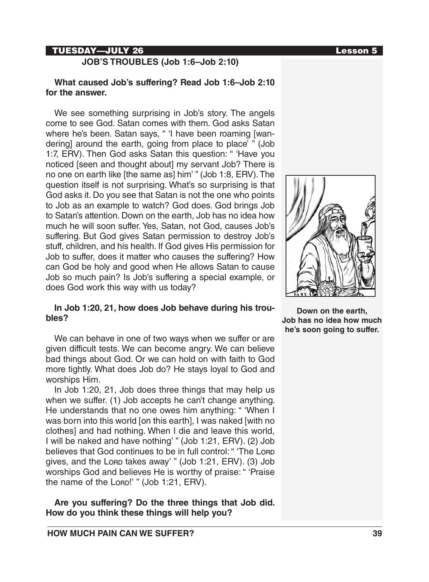## TUESDAY—JULY 26 Lesson 5

**JOB'S TROUBLES (Job 1:6–Job 2:10)**

#### **What caused Job's suffering? Read Job 1:6–Job 2:10 for the answer.**

We see something surprising in Job's story. The angels come to see God. Satan comes with them. God asks Satan where he's been. Satan says, " 'I have been roaming [wandering] around the earth, going from place to place' " (Job 1:7, ERV). Then God asks Satan this question: " 'Have you noticed [seen and thought about] my servant Job? There is no one on earth like [the same as] him' " (Job 1:8, ERV). The question itself is not surprising. What's so surprising is that God asks it. Do you see that Satan is not the one who points to Job as an example to watch? God does. God brings Job to Satan's attention. Down on the earth, Job has no idea how much he will soon suffer. Yes, Satan, not God, causes Job's suffering. But God gives Satan permission to destroy Job's stuff, children, and his health. If God gives His permission for Job to suffer, does it matter who causes the suffering? How can God be holy and good when He allows Satan to cause Job so much pain? Is Job's suffering a special example, or does God work this way with us today?

#### **In Job 1:20, 21, how does Job behave during his troubles?**

We can behave in one of two ways when we suffer or are given difficult tests. We can become angry. We can believe bad things about God. Or we can hold on with faith to God more tightly. What does Job do? He stays loyal to God and worships Him.

In Job 1:20, 21, Job does three things that may help us when we suffer. (1) Job accepts he can't change anything. He understands that no one owes him anything: " 'When I was born into this world [on this earth], I was naked [with no clothes] and had nothing. When I die and leave this world, I will be naked and have nothing' " (Job 1:21, ERV). (2) Job believes that God continues to be in full control: " 'The Lord gives, and the Lorp takes away' " (Job 1:21, ERV). (3) Job worships God and believes He is worthy of praise: " 'Praise the name of the Lorp!' " (Job 1:21, ERV).

**Are you suffering? Do the three things that Job did. How do you think these things will help you?**



**Down on the earth, Job has no idea how much he's soon going to suffer.**

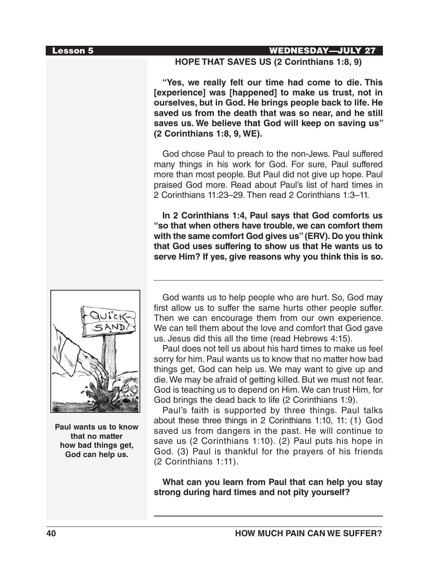#### Lesson 5 WEDNESDAY—JULY 27

## **HOPE THAT SAVES US (2 Corinthians 1:8, 9)**

**"Yes, we really felt our time had come to die. This [experience] was [happened] to make us trust, not in ourselves, but in God. He brings people back to life. He saved us from the death that was so near, and he still saves us. We believe that God will keep on saving us" (2 Corinthians 1:8, 9, WE).**

God chose Paul to preach to the non-Jews. Paul suffered many things in his work for God. For sure, Paul suffered more than most people. But Paul did not give up hope. Paul praised God more. Read about Paul's list of hard times in 2 Corinthians 11:23–29. Then read 2 Corinthians 1:3–11.

**In 2 Corinthians 1:4, Paul says that God comforts us "so that when others have trouble, we can comfort them with the same comfort God gives us" (ERV). Do you think that God uses suffering to show us that He wants us to serve Him? If yes, give reasons why you think this is so.**



**Paul wants us to know that no matter how bad things get, God can help us.**

God wants us to help people who are hurt. So, God may first allow us to suffer the same hurts other people suffer. Then we can encourage them from our own experience. We can tell them about the love and comfort that God gave us. Jesus did this all the time (read Hebrews 4:15).

Paul does not tell us about his hard times to make us feel sorry for him. Paul wants us to know that no matter how bad things get, God can help us. We may want to give up and die. We may be afraid of getting killed. But we must not fear. God is teaching us to depend on Him. We can trust Him, for God brings the dead back to life (2 Corinthians 1:9).

Paul's faith is supported by three things. Paul talks about these three things in 2 Corinthians 1:10, 11: (1) God saved us from dangers in the past. He will continue to save us (2 Corinthians 1:10). (2) Paul puts his hope in God. (3) Paul is thankful for the prayers of his friends (2 Corinthians 1:11).

**What can you learn from Paul that can help you stay strong during hard times and not pity yourself?**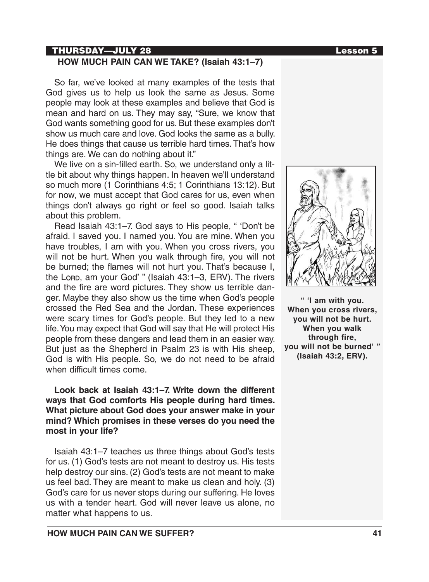### THURSDAY—JULY 28 Lesson 5

## **HOW MUCH PAIN CAN WE TAKE? (Isaiah 43:1–7)**

So far, we've looked at many examples of the tests that God gives us to help us look the same as Jesus. Some people may look at these examples and believe that God is mean and hard on us. They may say, "Sure, we know that God wants something good for us. But these examples don't show us much care and love. God looks the same as a bully. He does things that cause us terrible hard times. That's how things are. We can do nothing about it."

We live on a sin-filled earth. So, we understand only a little bit about why things happen. In heaven we'll understand so much more (1 Corinthians 4:5; 1 Corinthians 13:12). But for now, we must accept that God cares for us, even when things don't always go right or feel so good. Isaiah talks about this problem.

Read Isaiah 43:1–7. God says to His people, " 'Don't be afraid. I saved you. I named you. You are mine. When you have troubles, I am with you. When you cross rivers, you will not be hurt. When you walk through fire, you will not be burned; the flames will not hurt you. That's because I, the Lorp, am your God'" (Isaiah 43:1-3, ERV). The rivers and the fire are word pictures. They show us terrible danger. Maybe they also show us the time when God's people crossed the Red Sea and the Jordan. These experiences were scary times for God's people. But they led to a new life. You may expect that God will say that He will protect His people from these dangers and lead them in an easier way. But just as the Shepherd in Psalm 23 is with His sheep, God is with His people. So, we do not need to be afraid when difficult times come.

# **Look back at Isaiah 43:1–7. Write down the different ways that God comforts His people during hard times. What picture about God does your answer make in your mind? Which promises in these verses do you need the most in your life?**

Isaiah 43:1–7 teaches us three things about God's tests for us. (1) God's tests are not meant to destroy us. His tests help destroy our sins. (2) God's tests are not meant to make us feel bad. They are meant to make us clean and holy. (3) God's care for us never stops during our suffering. He loves us with a tender heart. God will never leave us alone, no matter what happens to us.



**" 'I am with you. When you cross rivers, you will not be hurt. When you walk through fire, you will not be burned' " (Isaiah 43:2, ERV).**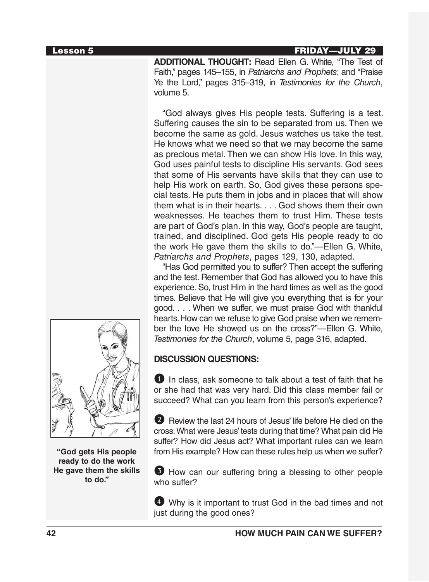#### Lesson 5 FRIDAY—JULY 29

**ADDITIONAL THOUGHT:** Read Ellen G. White, "The Test of Faith," pages 145–155, in *Patriarchs and Prophets*; and "Praise Ye the Lord," pages 315–319, in *Testimonies for the Church*, volume 5.

"God always gives His people tests. Suffering is a test. Suffering causes the sin to be separated from us. Then we become the same as gold. Jesus watches us take the test. He knows what we need so that we may become the same as precious metal. Then we can show His love. In this way, God uses painful tests to discipline His servants. God sees that some of His servants have skills that they can use to help His work on earth. So, God gives these persons special tests. He puts them in jobs and in places that will show them what is in their hearts. . . . God shows them their own weaknesses. He teaches them to trust Him. These tests are part of God's plan. In this way, God's people are taught, trained, and disciplined. God gets His people ready to do the work He gave them the skills to do."—Ellen G. White, *Patriarchs and Prophets*, pages 129, 130, adapted.

"Has God permitted you to suffer? Then accept the suffering and the test. Remember that God has allowed you to have this experience. So, trust Him in the hard times as well as the good times. Believe that He will give you everything that is for your good. . . . When we suffer, we must praise God with thankful hearts. How can we refuse to give God praise when we remember the love He showed us on the cross?"—Ellen G. White, *Testimonies for the Church*, volume 5, page 316, adapted.

# **DISCUSSION QUESTIONS:**

 $\bullet$  In class, ask someone to talk about a test of faith that he or she had that was very hard. Did this class member fail or succeed? What can you learn from this person's experience?

2 Review the last 24 hours of Jesus' life before He died on the cross. What were Jesus' tests during that time? What pain did He suffer? How did Jesus act? What important rules can we learn from His example? How can these rules help us when we suffer?

3 How can our suffering bring a blessing to other people who suffer?

4 Why is it important to trust God in the bad times and not just during the good ones?



**"God gets His people ready to do the work He gave them the skills to do."**